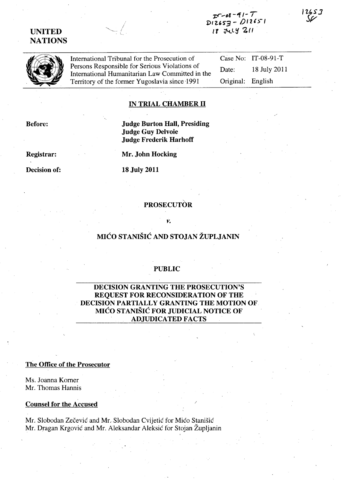## **UNITED NATIONS**

r:r~()'& *-#(1-* **T PtZ.,s-3 -** *0/21)-'*  <sup>I</sup>**r \1"Ll'i 7. {(** 



International Tribunal for the Prosecution of Persons Responsible for Serious Violations of International Humanitarian Law Committed in the Territory of the former Yugoslavia since-1991

Case No: IT-08-91-T Date: 18 July 2011 Original: English

2657

#### **IN TRIAL CHAMBER 11**

**Before:** 

**Judge Burton Hall, Presiding Judge Guy Delvoie Judge Frederik Harhoff** 

**Registrar:** 

**Decision of:** 

**Mr. John Hocking** 

**18 July 2011** 

## **PROSECUTÒR**

*v.* 

# **MIĆO STANIŠIĆ AND STOJAN ŽUPLJANIN**

### **PUBLIC**

### **DECISION GRANTING THE PROSECUTION'S REQUEST FOR RECONSIDERATION OF THE DECISION PARTIALLY GRANTING THE MOTION OF MICO STANISIC FOR JUDICIAL NOTICE OF ADJUDICATED FACTS**

**The Office of the Prosecutor** 

Ms. Joanna Korner Mr. Thomas Hannis

#### **Counsel for the Accused**

Mr. Slobodan Zecevic and Mr.. Slobodan Cvijetic for Mico Stanisic Mr. Dragan Krgovic and Mr. Aleksandar Aleksic for Stojan Zupljanin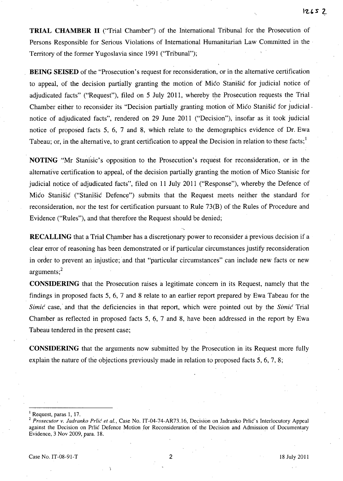**TRIAL CHAMBER II** ("Trial Chamber") of the International Tribunal for the Prosecution of Persons Responsible for Serious Violations of International Humanitarian Law Committed in the Territory of the former Yugoslavia since 1991 ("Tribunal");

**BEING SEISED** of the "Prosecution's request for reconsideration, or in the alternative certification to appeal, of the decision partially granting the motion of Mico Stanisic for judicial notice of adjudicated facts" ("Request"), filed on 5 July 2011, whereby the Prosecution requests the Trial Chamber either to reconsider its "Decision partially granting motion of Mico Stanisic for judicial. notice of adjudicated facts", rendered on 29 June 2011 ("Decision"), insofar as it took judicial notice of proposed facts 5, 6, 7 and 8, which relate to the demographics evidence of Dr. Ewa Tabeau; or, in the alternative, to grant certification to appeal the Decision in relation to these facts;  $\frac{1}{2}$ 

NOTING'.'Mr Stanisic's opposition to the Prosecution's request for reconsideration, or in the alternative certification to appeal, of the decision partially granting the motion of Mico Stanisic for judicial notice of adjudicated facts", filed on **11** July 2011 ("Response"), whereby the Defence of Mico Stanisic ("Stanisic Defence") submits that the Request meets neither the standard for reconsideration, nor the test for certification pursuant to Rule 73(B) of the Rules of Procedure and Evidence ("Rules"), and that therefore the Request should be denied;

**RECALLING** that a Trial Chamber has a discretionary power to reconsider a previous decision if a clear error of reasoning has been demonstrated or if particular circumstances justify reconsideration in order to prevent an injustice; and that "particular circumstances" can include new facts or new  $arguments;$ <sup>2</sup>

**CONSIDERING** that the Prosecution raises a legitimate concern in its Request, namely that the findings in proposed facts 5, 6, 7 and 8 relate to an earlier report prepared by Ewa Tabeau for the Simic case, and that the deficiencies in that report, which were pointed out by the Simic Trial Chamber as reflected in proposed facts 5, 6, 7 and 8, have been addressed in the report by Ewa Tabeau tendered in the present case;

**CONSIDERING** that the arguments now submitted by the Prosecution in its Request more fully explain the nature of the objections previously made in relation to proposed facts 5, 6, 7, 8;

 $<sup>1</sup>$  Request, paras 1, 17.</sup>

<sup>2</sup>*Prosecutor v. ladranko Prlic et aI.,* Case No. IT-04-74-AR73.16, Decision on Jadranko Prlic's Interlocutory Appeal against the Decision on Prlic Defence Motion for Reconsideration of the Decision and Admission of Documentary Evidence, 3 Nov 2009, para. 18.